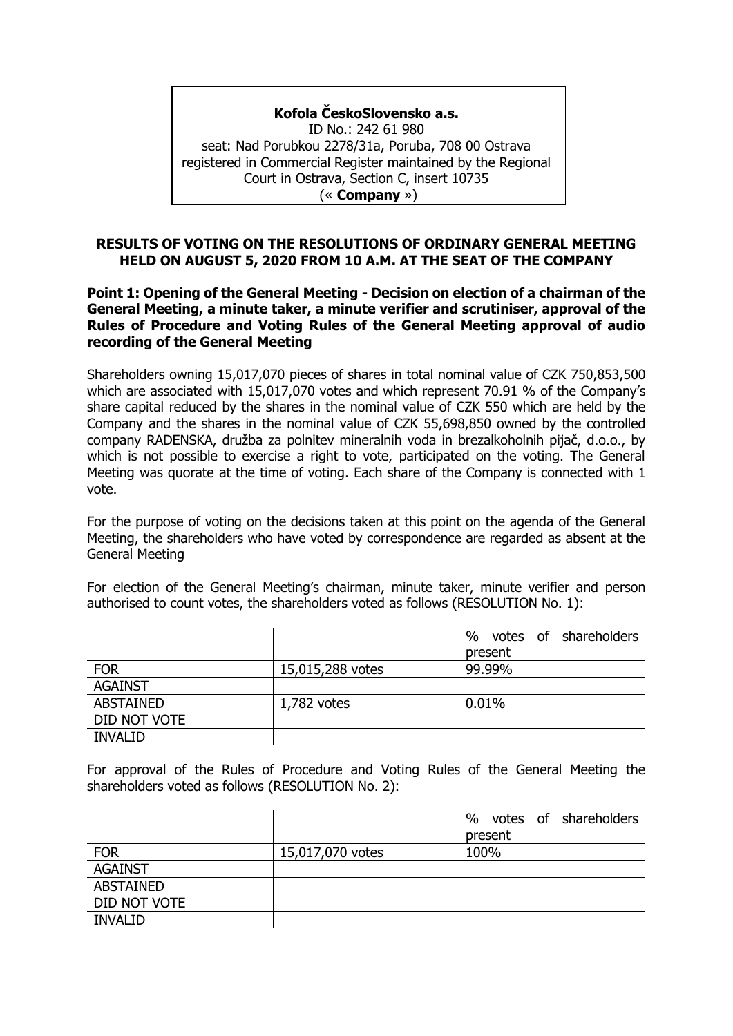## **Kofola ČeskoSlovensko a.s.**

ID No.: 242 61 980 seat: Nad Porubkou 2278/31a, Poruba, 708 00 Ostrava registered in Commercial Register maintained by the Regional Court in Ostrava, Section C, insert 10735 (« **Company** »)

#### **RESULTS OF VOTING ON THE RESOLUTIONS OF ORDINARY GENERAL MEETING HELD ON AUGUST 5, 2020 FROM 10 A.M. AT THE SEAT OF THE COMPANY**

**Point 1: Opening of the General Meeting - Decision on election of a chairman of the General Meeting, a minute taker, a minute verifier and scrutiniser, approval of the Rules of Procedure and Voting Rules of the General Meeting approval of audio recording of the General Meeting**

Shareholders owning 15,017,070 pieces of shares in total nominal value of CZK 750,853,500 which are associated with 15,017,070 votes and which represent 70.91 % of the Company's share capital reduced by the shares in the nominal value of CZK 550 which are held by the Company and the shares in the nominal value of CZK 55,698,850 owned by the controlled company RADENSKA, družba za polnitev mineralnih voda in brezalkoholnih pijač, d.o.o., by which is not possible to exercise a right to vote, participated on the voting. The General Meeting was quorate at the time of voting. Each share of the Company is connected with 1 vote.

For the purpose of voting on the decisions taken at this point on the agenda of the General Meeting, the shareholders who have voted by correspondence are regarded as absent at the General Meeting

For election of the General Meeting's chairman, minute taker, minute verifier and person authorised to count votes, the shareholders voted as follows (RESOLUTION No. 1):

|                  |                  | votes of shareholders<br>$\%$ |
|------------------|------------------|-------------------------------|
|                  |                  | present                       |
| <b>FOR</b>       | 15,015,288 votes | 99.99%                        |
| <b>AGAINST</b>   |                  |                               |
| <b>ABSTAINED</b> | $1,782$ votes    | 0.01%                         |
| DID NOT VOTE     |                  |                               |
| <b>INVALID</b>   |                  |                               |

For approval of the Rules of Procedure and Voting Rules of the General Meeting the shareholders voted as follows (RESOLUTION No. 2):

|                  |                  | $\%$<br>votes of shareholders |
|------------------|------------------|-------------------------------|
|                  |                  | present                       |
| <b>FOR</b>       | 15,017,070 votes | 100%                          |
| <b>AGAINST</b>   |                  |                               |
| <b>ABSTAINED</b> |                  |                               |
| DID NOT VOTE     |                  |                               |
| <b>INVALID</b>   |                  |                               |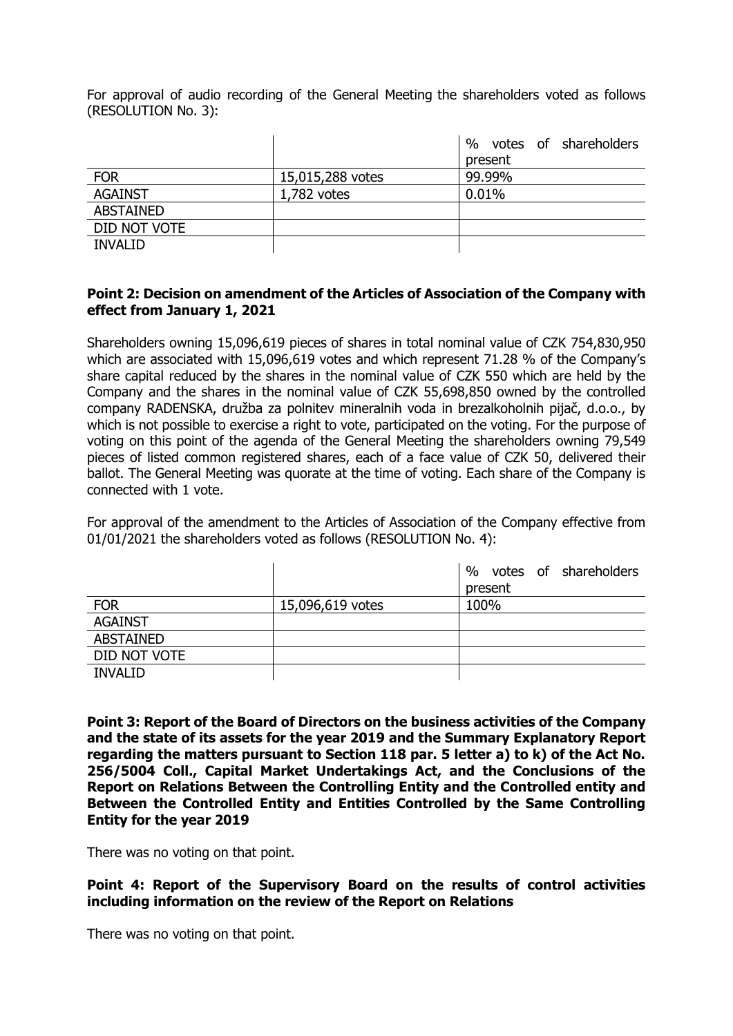For approval of audio recording of the General Meeting the shareholders voted as follows (RESOLUTION No. 3):

|                  |                  | %<br>votes of shareholders |
|------------------|------------------|----------------------------|
|                  |                  | present                    |
| <b>FOR</b>       | 15,015,288 votes | 99.99%                     |
| <b>AGAINST</b>   | $1,782$ votes    | 0.01%                      |
| <b>ABSTAINED</b> |                  |                            |
| DID NOT VOTE     |                  |                            |
| <b>INVALID</b>   |                  |                            |

## **Point 2: Decision on amendment of the Articles of Association of the Company with effect from January 1, 2021**

Shareholders owning 15,096,619 pieces of shares in total nominal value of CZK 754,830,950 which are associated with 15,096,619 votes and which represent 71.28 % of the Company's share capital reduced by the shares in the nominal value of CZK 550 which are held by the Company and the shares in the nominal value of CZK 55,698,850 owned by the controlled company RADENSKA, družba za polnitev mineralnih voda in brezalkoholnih pijač, d.o.o., by which is not possible to exercise a right to vote, participated on the voting. For the purpose of voting on this point of the agenda of the General Meeting the shareholders owning 79,549 pieces of listed common registered shares, each of a face value of CZK 50, delivered their ballot. The General Meeting was quorate at the time of voting. Each share of the Company is connected with 1 vote.

For approval of the amendment to the Articles of Association of the Company effective from 01/01/2021 the shareholders voted as follows (RESOLUTION No. 4):

|                  |                  | votes of shareholders<br>$\%$ |
|------------------|------------------|-------------------------------|
|                  |                  | present                       |
| <b>FOR</b>       | 15,096,619 votes | 100%                          |
| <b>AGAINST</b>   |                  |                               |
| <b>ABSTAINED</b> |                  |                               |
| DID NOT VOTE     |                  |                               |
| <b>INVALID</b>   |                  |                               |

**Point 3: Report of the Board of Directors on the business activities of the Company and the state of its assets for the year 2019 and the Summary Explanatory Report regarding the matters pursuant to Section 118 par. 5 letter a) to k) of the Act No. 256/5004 Coll., Capital Market Undertakings Act, and the Conclusions of the Report on Relations Between the Controlling Entity and the Controlled entity and Between the Controlled Entity and Entities Controlled by the Same Controlling Entity for the year 2019**

There was no voting on that point.

**Point 4: Report of the Supervisory Board on the results of control activities including information on the review of the Report on Relations** 

There was no voting on that point.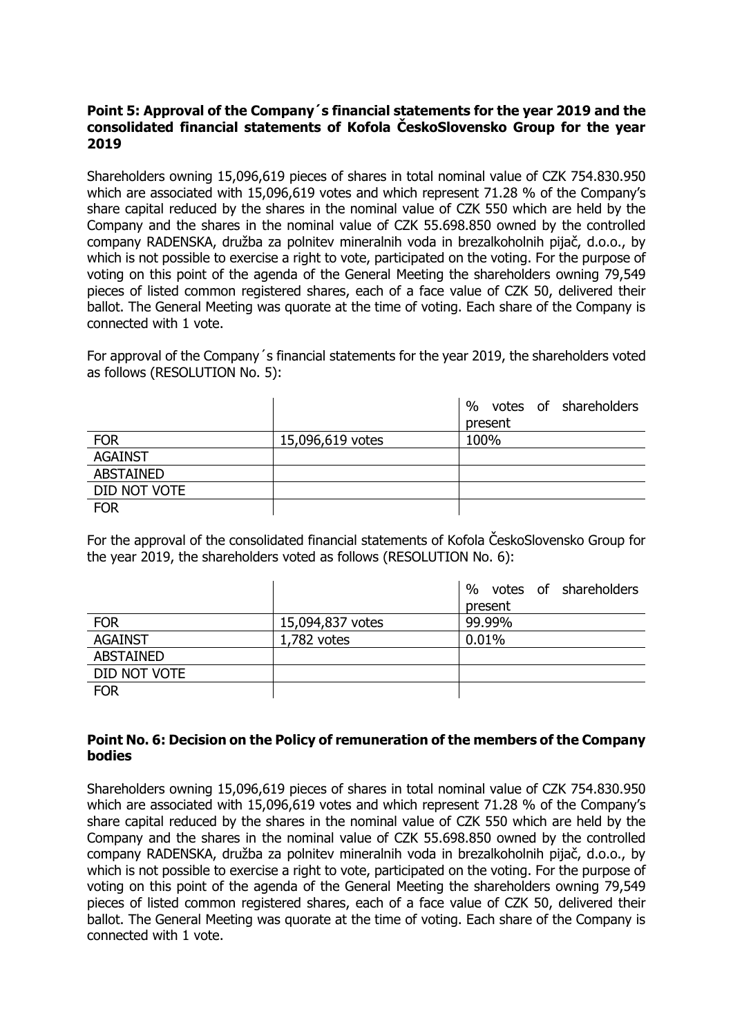### **Point 5: Approval of the Company´s financial statements for the year 2019 and the consolidated financial statements of Kofola ČeskoSlovensko Group for the year 2019**

Shareholders owning 15,096,619 pieces of shares in total nominal value of CZK 754.830.950 which are associated with 15,096,619 votes and which represent 71.28 % of the Company's share capital reduced by the shares in the nominal value of CZK 550 which are held by the Company and the shares in the nominal value of CZK 55.698.850 owned by the controlled company RADENSKA, družba za polnitev mineralnih voda in brezalkoholnih pijač, d.o.o., by which is not possible to exercise a right to vote, participated on the voting. For the purpose of voting on this point of the agenda of the General Meeting the shareholders owning 79,549 pieces of listed common registered shares, each of a face value of CZK 50, delivered their ballot. The General Meeting was quorate at the time of voting. Each share of the Company is connected with 1 vote.

For approval of the Company´s financial statements for the year 2019, the shareholders voted as follows (RESOLUTION No. 5):

|                  |                  | $\%$<br>votes of shareholders |
|------------------|------------------|-------------------------------|
|                  |                  | present                       |
| <b>FOR</b>       | 15,096,619 votes | 100%                          |
| <b>AGAINST</b>   |                  |                               |
| <b>ABSTAINED</b> |                  |                               |
| DID NOT VOTE     |                  |                               |
| <b>FOR</b>       |                  |                               |

For the approval of the consolidated financial statements of Kofola ČeskoSlovensko Group for the year 2019, the shareholders voted as follows (RESOLUTION No. 6):

|                  |                  | votes of shareholders<br>% |
|------------------|------------------|----------------------------|
|                  |                  | present                    |
| <b>FOR</b>       | 15,094,837 votes | 99.99%                     |
| <b>AGAINST</b>   | 1,782 votes      | 0.01%                      |
| <b>ABSTAINED</b> |                  |                            |
| DID NOT VOTE     |                  |                            |
| <b>FOR</b>       |                  |                            |

## **Point No. 6: Decision on the Policy of remuneration of the members of the Company bodies**

Shareholders owning 15,096,619 pieces of shares in total nominal value of CZK 754.830.950 which are associated with 15,096,619 votes and which represent 71.28 % of the Company's share capital reduced by the shares in the nominal value of CZK 550 which are held by the Company and the shares in the nominal value of CZK 55.698.850 owned by the controlled company RADENSKA, družba za polnitev mineralnih voda in brezalkoholnih pijač, d.o.o., by which is not possible to exercise a right to vote, participated on the voting. For the purpose of voting on this point of the agenda of the General Meeting the shareholders owning 79,549 pieces of listed common registered shares, each of a face value of CZK 50, delivered their ballot. The General Meeting was quorate at the time of voting. Each share of the Company is connected with 1 vote.